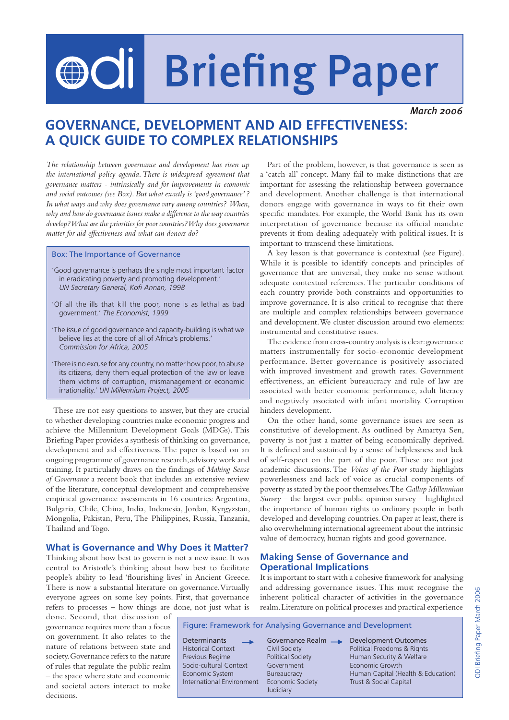# OOI Briefing Paper

*March 2006*

# **GOVERNANCE, DEVELOPMENT AND AID EFFECTIVENESS: A QUICK GUIDE TO COMPLEX RELATIONSHIPS**

*The relationship between governance and development has risen up the international policy agenda. There is widespread agreement that governance matters - intrinsically and for improvements in economic and social outcomes (see Box). But what exactly is 'good governance' ? In what ways and why does governance vary among countries? When, why and how do governance issues make a difference to the way countries develop? What are the priorities for poor countries? Why does governance matter for aid effectiveness and what can donors do?*

#### Box: The Importance of Governance

- 'Good governance is perhaps the single most important factor in eradicating poverty and promoting development.'  *UN Secretary General, Kofi Annan, 1998*
- 'Of all the ills that kill the poor, none is as lethal as bad government.' *The Economist, 1999*
- 'The issue of good governance and capacity-building is what we believe lies at the core of all of Africa's problems.'  *Commission for Africa, 2005*
- 'There is no excuse for any country, no matter how poor, to abuse its citizens, deny them equal protection of the law or leave them victims of corruption, mismanagement or economic irrationality.' *UN Millennium Project, 2005*

These are not easy questions to answer, but they are crucial to whether developing countries make economic progress and achieve the Millennium Development Goals (MDGs). This Briefing Paper provides a synthesis of thinking on governance, development and aid effectiveness. The paper is based on an ongoing programme of governance research, advisory work and training. It particularly draws on the findings of *Making Sense of Governance* a recent book that includes an extensive review of the literature, conceptual development and comprehensive empirical governance assessments in 16 countries: Argentina, Bulgaria, Chile, China, India, Indonesia, Jordan, Kyrgyzstan, Mongolia, Pakistan, Peru, The Philippines, Russia, Tanzania, Thailand and Togo.

# **What is Governance and Why Does it Matter?**

Thinking about how best to govern is not a new issue. It was central to Aristotle's thinking about how best to facilitate people's ability to lead 'flourishing lives' in Ancient Greece. There is now a substantial literature on governance. Virtually everyone agrees on some key points. First, that governance refers to processes – how things are done, not just what is

done. Second, that discussion of governance requires more than a focus on government. It also relates to the nature of relations between state and society. Governance refers to the nature of rules that regulate the public realm – the space where state and economic and societal actors interact to make decisions.

Part of the problem, however, is that governance is seen as a 'catch-all' concept. Many fail to make distinctions that are important for assessing the relationship between governance and development. Another challenge is that international donors engage with governance in ways to fit their own specific mandates. For example, the World Bank has its own interpretation of governance because its official mandate prevents it from dealing adequately with political issues. It is important to transcend these limitations.

A key lesson is that governance is contextual (see Figure). While it is possible to identify concepts and principles of governance that are universal, they make no sense without adequate contextual references. The particular conditions of each country provide both constraints and opportunities to improve governance. It is also critical to recognise that there are multiple and complex relationships between governance and development. We cluster discussion around two elements: instrumental and constitutive issues.

The evidence from cross-country analysis is clear: governance matters instrumentally for socio-economic development performance. Better governance is positively associated with improved investment and growth rates. Government effectiveness, an efficient bureaucracy and rule of law are associated with better economic performance, adult literacy and negatively associated with infant mortality. Corruption hinders development.

On the other hand, some governance issues are seen as constitutive of development. As outlined by Amartya Sen, poverty is not just a matter of being economically deprived. It is defined and sustained by a sense of helplessness and lack of self-respect on the part of the poor. These are not just academic discussions. The *Voices of the Poor* study highlights powerlessness and lack of voice as crucial components of poverty as stated by the poor themselves. The *Gallup Millennium Survey* – the largest ever public opinion survey – highlighted the importance of human rights to ordinary people in both developed and developing countries. On paper at least, there is also overwhelming international agreement about the intrinsic value of democracy, human rights and good governance.

# **Making Sense of Governance and Operational Implications**

It is important to start with a cohesive framework for analysing and addressing governance issues. This must recognise the inherent political character of activities in the governance realm. Literature on political processes and practical experience

Figure: Framework for Analysing Governance and Development

Socio-cultural Context Government **Example 2018** Economic Growth International Environment Economic Society Trust & Social Capital

Judiciary

Determinants **Governance Realm**Bevelopment Outcomes<br>
Historical Context Civil Society<br>
Political Freedoms & Rights Political Freedoms & Rights Previous Regime **Political Society Human Security & Welfare** Economic System Bureaucracy Human Capital (Health & Education)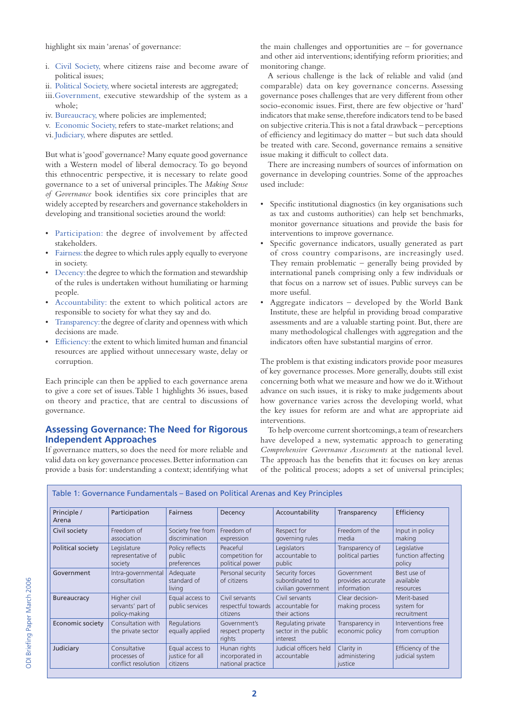highlight six main 'arenas' of governance:

- i. Civil Society, where citizens raise and become aware of political issues;
- ii. Political Society, where societal interests are aggregated;
- iii.Government, executive stewardship of the system as a whole;
- iv. Bureaucracy, where policies are implemented;
- v. Economic Society, refers to state-market relations; and
- vi. Judiciary, where disputes are settled.

But what is 'good' governance? Many equate good governance with a Western model of liberal democracy. To go beyond this ethnocentric perspective, it is necessary to relate good governance to a set of universal principles. The *Making Sense of Governance* book identifies six core principles that are widely accepted by researchers and governance stakeholders in developing and transitional societies around the world:

- Participation: the degree of involvement by affected stakeholders.
- Fairness: the degree to which rules apply equally to everyone in society.
- Decency: the degree to which the formation and stewardship of the rules is undertaken without humiliating or harming people.
- Accountability: the extent to which political actors are responsible to society for what they say and do.
- Transparency: the degree of clarity and openness with which decisions are made.
- Efficiency: the extent to which limited human and financial resources are applied without unnecessary waste, delay or corruption.

Each principle can then be applied to each governance arena to give a core set of issues. Table 1 highlights 36 issues, based on theory and practice, that are central to discussions of governance.

# **Assessing Governance: The Need for Rigorous Independent Approaches**

If governance matters, so does the need for more reliable and valid data on key governance processes. Better information can provide a basis for: understanding a context; identifying what

the main challenges and opportunities are  $-$  for governance and other aid interventions; identifying reform priorities; and monitoring change.

A serious challenge is the lack of reliable and valid (and comparable) data on key governance concerns. Assessing governance poses challenges that are very different from other socio-economic issues. First, there are few objective or 'hard' indicators that make sense, therefore indicators tend to be based on subjective criteria. This is not a fatal drawback – perceptions of efficiency and legitimacy do matter – but such data should be treated with care. Second, governance remains a sensitive issue making it difficult to collect data.

There are increasing numbers of sources of information on governance in developing countries. Some of the approaches used include:

- Specific institutional diagnostics (in key organisations such as tax and customs authorities) can help set benchmarks, monitor governance situations and provide the basis for interventions to improve governance.
- Specific governance indicators, usually generated as part of cross country comparisons, are increasingly used. They remain problematic – generally being provided by international panels comprising only a few individuals or that focus on a narrow set of issues. Public surveys can be more useful.
- Aggregate indicators developed by the World Bank Institute, these are helpful in providing broad comparative assessments and are a valuable starting point. But, there are many methodological challenges with aggregation and the indicators often have substantial margins of error.

The problem is that existing indicators provide poor measures of key governance processes. More generally, doubts still exist concerning both what we measure and how we do it. Without advance on such issues, it is risky to make judgements about how governance varies across the developing world, what the key issues for reform are and what are appropriate aid interventions.

To help overcome current shortcomings, a team of researchers have developed a new, systematic approach to generating *Comprehensive Governance Assessments* at the national level. The approach has the benefits that it: focuses on key arenas of the political process; adopts a set of universal principles;

| Principle /<br>Arena | Participation                                       | <b>Fairness</b>                                       | Decency                                              | Accountability                                            | Transparency                                   | Efficiency                                  |
|----------------------|-----------------------------------------------------|-------------------------------------------------------|------------------------------------------------------|-----------------------------------------------------------|------------------------------------------------|---------------------------------------------|
| Civil society        | Freedom of<br>association                           | Society free from<br>discrimination                   | Freedom of<br>expression                             | Respect for<br>governing rules                            | Freedom of the<br>media                        | Input in policy<br>making                   |
| Political society    | Legislature<br>representative of<br>society         | Policy reflects<br>public<br>preferences              | Peaceful<br>competition for<br>political power       | Legislators<br>accountable to<br>public                   | Transparency of<br>political parties           | Legislative<br>function affecting<br>policy |
| Government           | Intra-governmental<br>consultation                  | Adequate<br>standard of<br>living                     | Personal security<br>of citizens                     | Security forces<br>subordinated to<br>civilian government | Government<br>provides accurate<br>information | Best use of<br>available<br>resources       |
| <b>Bureaucracy</b>   | Higher civil<br>servants' part of<br>policy-making  | Equal access to<br>public services                    | Civil servants<br>respectful towards<br>citizens     | Civil servants<br>accountable for<br>their actions        | Clear decision-<br>making process              | Merit-based<br>system for<br>recruitment    |
| Economic society     | Consultation with<br>the private sector             | Regulations<br>equally applied                        | Government's<br>respect property<br>rights           | Regulating private<br>sector in the public<br>interest    | Transparency in<br>economic policy             | Interventions free<br>from corruption       |
| Judiciary            | Consultative<br>processes of<br>conflict resolution | Equal access to<br>justice for all<br><i>citizens</i> | Hunan rights<br>incorporated in<br>national practice | Judicial officers held<br>accountable                     | Clarity in<br>administering<br>justice         | Efficiency of the<br>judicial system        |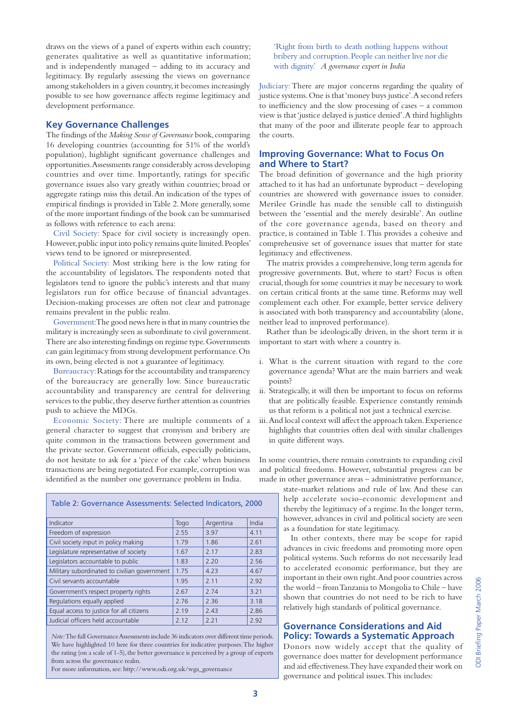draws on the views of a panel of experts within each country; generates qualitative as well as quantitative information; and is independently managed – adding to its accuracy and legitimacy. By regularly assessing the views on governance among stakeholders in a given country, it becomes increasingly possible to see how governance affects regime legitimacy and development performance.

#### **Key Governance Challenges**

The findings of the *Making Sense of Governance* book, comparing 16 developing countries (accounting for 51% of the world's population), highlight significant governance challenges and opportunities. Assessments range considerably across developing countries and over time. Importantly, ratings for specific governance issues also vary greatly within countries; broad or aggregate ratings miss this detail. An indication of the types of empirical findings is provided in Table 2. More generally, some of the more important findings of the book can be summarised as follows with reference to each arena:

Civil Society: Space for civil society is increasingly open. However, public input into policy remains quite limited. Peoples' views tend to be ignored or misrepresented.

Political Society: Most striking here is the low rating for the accountability of legislators. The respondents noted that legislators tend to ignore the public's interests and that many legislators run for office because of financial advantages. Decision-making processes are often not clear and patronage remains prevalent in the public realm.

Government: The good news here is that in many countries the military is increasingly seen as subordinate to civil government. There are also interesting findings on regime type. Governments can gain legitimacy from strong development performance. On its own, being elected is not a guarantee of legitimacy.

Bureaucracy: Ratings for the accountability and transparency of the bureaucracy are generally low. Since bureaucratic accountability and transparency are central for delivering services to the public, they deserve further attention as countries push to achieve the MDGs.

Economic Society: There are multiple comments of a general character to suggest that cronyism and bribery are quite common in the transactions between government and the private sector. Government officials, especially politicians, do not hesitate to ask for a 'piece of the cake' when business transactions are being negotiated. For example, corruption was identified as the number one governance problem in India.

| Indicator                                    | Togo | Argentina | India |
|----------------------------------------------|------|-----------|-------|
| Freedom of expression                        | 2.55 | 3.97      | 4.11  |
| Civil society input in policy making         | 1.79 | 1.86      | 2.61  |
| Legislature representative of society        | 1.67 | 2.17      | 2.83  |
| Legislators accountable to public            | 1.83 | 2.20      | 2.56  |
| Military subordinated to civilian government | 1.75 | 4.23      | 4.67  |
| Civil servants accountable                   | 1.95 | 2.11      | 2.92  |
| Government's respect property rights         | 2.67 | 2.74      | 3.21  |
| Regulations equally applied                  | 2.76 | 2.36      | 3.18  |
| Equal access to justice for all citizens     | 2.19 | 2.43      | 2.86  |
| Judicial officers held accountable           | 2.12 | 2.21      | 2.92  |

Table 2: Governance Assessments: Selected Indicators, 2000

*Note:* The full Governance Assessments include 36 indicators over different time periods. We have highlighted 10 here for three countries for indicative purposes. The higher the rating (on a scale of 1-5), the better governance is perceived by a group of experts from across the governance realm.

For more information, see: http://www.odi.org.uk/wga\_governance

 'Right from birth to death nothing happens without bribery and corruption. People can neither live nor die with dignity.' *A governance expert in India*

Judiciary: There are major concerns regarding the quality of justice systems. One is that 'money buys justice'. A second refers to inefficiency and the slow processing of cases – a common view is that 'justice delayed is justice denied'. A third highlights that many of the poor and illiterate people fear to approach the courts.

## **Improving Governance: What to Focus On and Where to Start?**

The broad definition of governance and the high priority attached to it has had an unfortunate byproduct – developing countries are showered with governance issues to consider. Merilee Grindle has made the sensible call to distinguish between the 'essential and the merely desirable'. An outline of the core governance agenda, based on theory and practice, is contained in Table 1. This provides a cohesive and comprehensive set of governance issues that matter for state legitimacy and effectiveness.

The matrix provides a comprehensive, long term agenda for progressive governments. But, where to start? Focus is often crucial, though for some countries it may be necessary to work on certain critical fronts at the same time. Reforms may well complement each other. For example, better service delivery is associated with both transparency and accountability (alone, neither lead to improved performance).

Rather than be ideologically driven, in the short term it is important to start with where a country is.

- i. What is the current situation with regard to the core governance agenda? What are the main barriers and weak points?
- ii. Strategically, it will then be important to focus on reforms that are politically feasible. Experience constantly reminds us that reform is a political not just a technical exercise.
- iii. And local context will affect the approach taken. Experience highlights that countries often deal with similar challenges in quite different ways.

In some countries, there remain constraints to expanding civil and political freedoms. However, substantial progress can be made in other governance areas – administrative performance,

> state-market relations and rule of law. And these can help accelerate socio-economic development and thereby the legitimacy of a regime. In the longer term, however, advances in civil and political society are seen as a foundation for state legitimacy.

> In other contexts, there may be scope for rapid advances in civic freedoms and promoting more open political systems. Such reforms do not necessarily lead to accelerated economic performance, but they are important in their own right. And poor countries across the world – from Tanzania to Mongolia to Chile – have shown that countries do not need to be rich to have relatively high standards of political governance.

# **Governance Considerations and Aid Policy: Towards a Systematic Approach**

Donors now widely accept that the quality of governance does matter for development performance and aid effectiveness. They have expanded their work on governance and political issues. This includes: